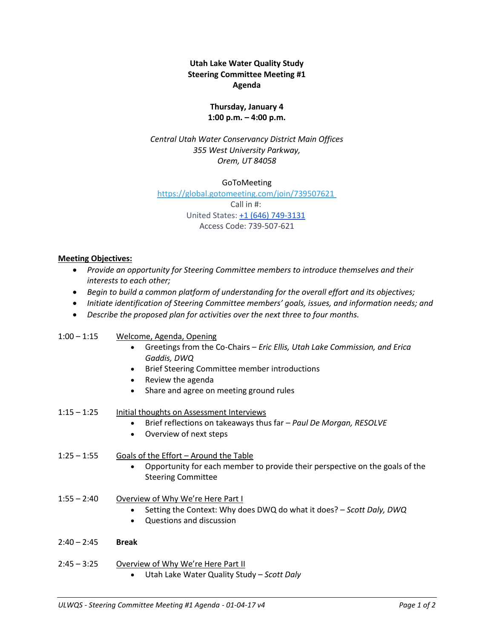# **Utah Lake Water Quality Study Steering Committee Meeting #1 Agenda**

# **Thursday, January 4 1:00 p.m. – 4:00 p.m.**

*Central Utah Water Conservancy District Main Offices 355 West University Parkway, Orem, UT 84058*

GoToMeeting

<https://global.gotomeeting.com/join/739507621> Call in #: United States: [+1 \(646\) 749-3131](tel:(646)%20749-3131) Access Code: 739-507-621

### **Meeting Objectives:**

- *Provide an opportunity for Steering Committee members to introduce themselves and their interests to each other;*
- *Begin to build a common platform of understanding for the overall effort and its objectives;*
- *Initiate identification of Steering Committee members' goals, issues, and information needs; and*
- *Describe the proposed plan for activities over the next three to four months.*

### 1:00 – 1:15 Welcome, Agenda, Opening

- Greetings from the Co-Chairs *Eric Ellis, Utah Lake Commission, and Erica Gaddis, DWQ*
- **•** Brief Steering Committee member introductions
- Review the agenda
- Share and agree on meeting ground rules
- 1:15 1:25 Initial thoughts on Assessment Interviews
	- Brief reflections on takeaways thus far *Paul De Morgan, RESOLVE*
	- Overview of next steps
- 1:25 1:55 Goals of the Effort Around the Table
	- Opportunity for each member to provide their perspective on the goals of the Steering Committee
- 1:55 2:40 Overview of Why We're Here Part I
	- Setting the Context: Why does DWQ do what it does? *Scott Daly, DWQ*
	- Questions and discussion
- 2:40 2:45 **Break**
- 2:45 3:25 Overview of Why We're Here Part II
	- Utah Lake Water Quality Study *Scott Daly*